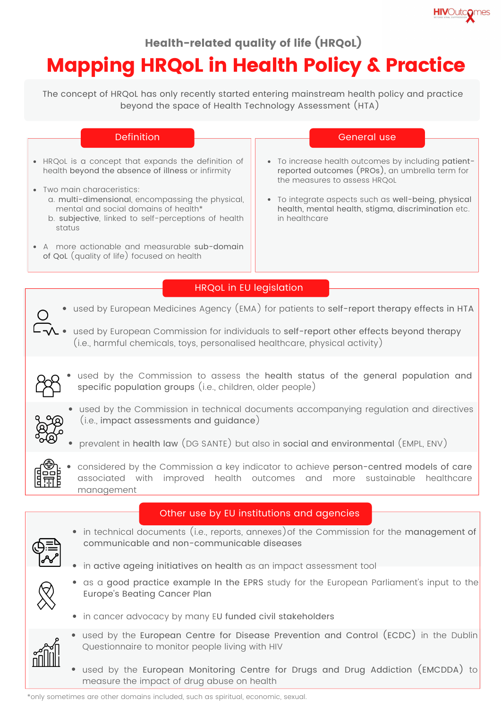

## Health-related quality of life (HRQoL)

# Mapping HRQoL in Health Policy & Practice

The concept of HRQoL has only recently started entering mainstream health policy and practice beyond the space of Health Technology Assessment (HTA)

| <b>Definition</b>                                                                                                                                                                                                                                                                                                                                                                            | General use                                                                                                                                                                                                                                                       |
|----------------------------------------------------------------------------------------------------------------------------------------------------------------------------------------------------------------------------------------------------------------------------------------------------------------------------------------------------------------------------------------------|-------------------------------------------------------------------------------------------------------------------------------------------------------------------------------------------------------------------------------------------------------------------|
| HRQoL is a concept that expands the definition of<br>health beyond the absence of illness or infirmity<br>Two main characeristics:<br>a. multi-dimensional, encompassing the physical,<br>mental and social domains of health*<br>b. subjective, linked to self-perceptions of health<br>status<br>A more actionable and measurable sub-domain<br>of QoL (quality of life) focused on health | • To increase health outcomes by including patient-<br>reported outcomes (PROs), an umbrella term for<br>the measures to assess HRQoL<br>To integrate aspects such as well-being, physical<br>health, mental health, stigma, discrimination etc.<br>in healthcare |
| <b>HRQoL</b> in EU legislation<br>used by European Medicines Agency (EMA) for patients to self-report therapy effects in HTA                                                                                                                                                                                                                                                                 |                                                                                                                                                                                                                                                                   |

- $\Box\lozenge$  used by European Commission for individuals to self-report other effects beyond therapy (i.e., harmful chemicals, toys, personalised healthcare, physical activity)
	- used by the Commission to assess the health status of the general population and specific population groups (i.e., children, older people)

- used by the Commission in technical documents accompanying regulation and directives (i.e., impact assessments and guidance)
- prevalent in health law (DG SANTE) but also in social and environmental (EMPL, ENV)



considered by the Commission a key indicator to achieve person-centred models of care associated with improved health outcomes and more sustainable healthcare management

## Other use by EU institutions and agencies

• in technical documents (i.e., reports, annexes) of the Commission for the management of communicable and non-communicable diseases





- as a good practice example In the EPRS study for the European Parliament's input to the Europe's Beating Cancer Plan
- in cancer advocacy by many EU funded civil stakeholders
- used by the European Centre for Disease Prevention and Control (ECDC) in the Dublin Questionnaire to monitor people living with HIV
	- used by the European Monitoring Centre for Drugs and Drug Addiction (EMCDDA) to measure the impact of drug abuse on health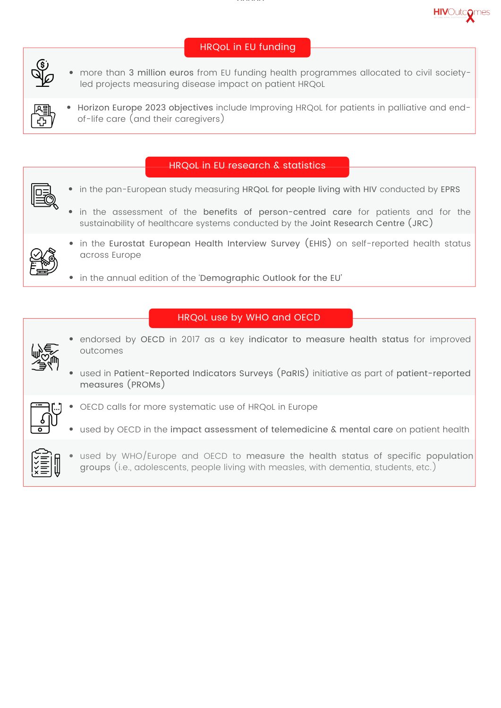

## HRQoL in EU funding

- more than 3 million euros from EU funding health programmes allocated to civil societyled projects measuring disease impact on patient HRQoL
- Horizon Europe 2023 objectives include Improving HRQoL for patients in palliative and endof-life care (and their caregivers)

#### HRQoL in EU research & statistics

- in the pan-European study measuring HRQoL for people living with HIV conducted by EPRS
	- in the assessment of the benefits of person-centred care for patients and for the sustainability of healthcare systems conducted by the Joint Research Centre (JRC)



 $\odot$ 

- in the Eurostat European Health Interview Survey (EHIS) on self-reported health status across Europe
- in the annual edition of the 'Demographic Outlook for the EU'

### HRQoL use by WHO and OECD



- endorsed by OECD in 2017 as a key indicator to measure health status for improved outcomes
- used in Patient-Reported Indicators Surveys (PaRIS) initiative as part of patient-reported measures (PROMs)



- OECD calls for more systematic use of HRQoL in Europe
- used by OECD in the impact assessment of telemedicine & mental care on patient health



used by WHO/Europe and OECD to measure the health status of specific population groups (i.e., adolescents, people living with measles, with dementia, students, etc.)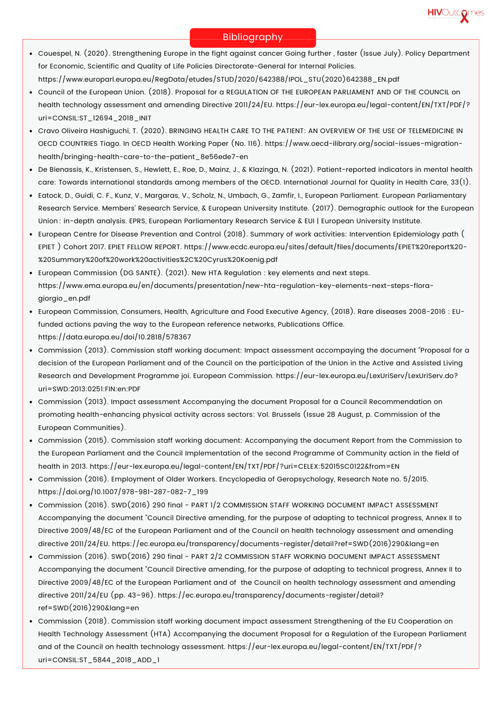

#### Bibliography

- Couespel, N. (2020). Strengthening Europe in the fight against cancer Going further , faster (Issue July). Policy Department for Economic, Scientific and Quality of Life Policies Directorate-General for Internal Policies. https://www.europarl.europa.eu/RegData/etudes/STUD/2020/642388/IPOL\_STU(2020)642388\_EN.pdf
- Council of the European Union. (2018). Proposal for a REGULATION OF THE EUROPEAN PARLIAMENT AND OF THE COUNCIL on health technology assessment and amending Directive 2011/24/EU. https://eur-lex.europa.eu/legal-content/EN/TXT/PDF/? uri=CONSIL:ST\_12694\_2018\_INIT
- Cravo Oliveira Hashiguchi, T. (2020). BRINGING HEALTH CARE TO THE PATIENT: AN OVERVIEW OF THE USE OF TELEMEDICINE IN OECD COUNTRIES Tiago. In OECD Health Working Paper (No. 116). https://www.oecd-ilibrary.org/social-issues-migrationhealth/bringing-health-care-to-the-patient\_8e56ede7-en
- De Bienassis, K., Kristensen, S., Hewlett, E., Roe, D., Mainz, J., & Klazinga, N. (2021). Patient-reported indicators in mental health care: Towards international standards among members of the OECD. International Journal for Quality in Health Care, 33(1).
- Eatock, D., Guidi, C. F., Kunz, V., Margaras, V., Scholz, N., Umbach, G., Zamfir, I., European Parliament. European Parliamentary Research Service. Members' Research Service, & European University Institute. (2017). Demographic outlook for the European Union : in-depth analysis. EPRS, European Parliamentary Research Service & EUI | European University Institute.
- European Centre for Disease Prevention and Control (2018). Summary of work activities: Intervention Epidemiology path ( EPIET ) Cohort 2017. EPIET FELLOW REPORT. https://www.ecdc.europa.eu/sites/default/files/documents/EPIET%20report%20- %20Summary%20of%20work%20activities%2C%20Cyrus%20Koenig.pdf
- European Commission (DG SANTE). (2021). New HTA Regulation : key elements and next steps. https://www.ema.europa.eu/en/documents/presentation/new-hta-regulation-key-elements-next-steps-floragiorgio\_en.pdf
- European Commission, Consumers, Health, Agriculture and Food Executive Agency, (2018). Rare diseases 2008-2016 : EUfunded actions paving the way to the European reference networks, Publications Office. https://data.europa.eu/doi/10.2818/578367
- Commission (2013). Commission staff working document: Impact assessment accompaying the document "Proposal for a decision of the European Parliament and of the Council on the participation of the Union in the Active and Assisted Living Research and Development Programme joi. European Commission. https://eur-lex.europa.eu/LexUriServ/LexUriServ.do? uri=SWD:2013:0251:FIN:en:PDF
- Commission (2013). Impact assessment Accompanying the document Proposal for a Council Recommendation on promoting health-enhancing physical activity across sectors: Vol. Brussels (Issue 28 August, p. Commission of the European Communities).
- Commission (2015). Commission staff working document: Accompanying the document Report from the Commission to the European Parliament and the Council Implementation of the second Programme of Community action in the field of health in 2013. https://eur-lex.europa.eu/legal-content/EN/TXT/PDF/?uri=CELEX:52015SC0122&from=EN
- Commission (2016). Employment of Older Workers. Encyclopedia of Geropsychology, Research Note no. 5/2015. https://doi.org/10.1007/978-981-287-082-7\_199
- Commission (2016). SWD(2016) 290 final PART 1/2 COMMISSION STAFF WORKING DOCUMENT IMPACT ASSESSMENT Accompanying the document "Council Directive amending, for the purpose of adapting to technical progress, Annex II to Directive 2009/48/EC of the European Parliament and of the Council on health technology assessment and amending directive 2011/24/EU. https://ec.europa.eu/transparency/documents-register/detail?ref=SWD(2016)290&lang=en
- Commission (2016). SWD(2016) 290 final PART 2/2 COMMISSION STAFF WORKING DOCUMENT IMPACT ASSESSMENT Accompanying the document "Council Directive amending, for the purpose of adapting to technical progress, Annex II to Directive 2009/48/EC of the European Parliament and of the Council on health technology assessment and amending directive 2011/24/EU (pp. 43–96). https://ec.europa.eu/transparency/documents-register/detail? ref=SWD(2016)290&lang=en
- Commission (2018). Commission staff working document impact assessment Strengthening of the EU Cooperation on Health Technology Assessment (HTA) Accompanying the document Proposal for a Regulation of the European Parliament and of the Council on health technology assessment. https://eur-lex.europa.eu/legal-content/EN/TXT/PDF/? uri=CONSIL:ST\_5844\_2018\_ADD\_1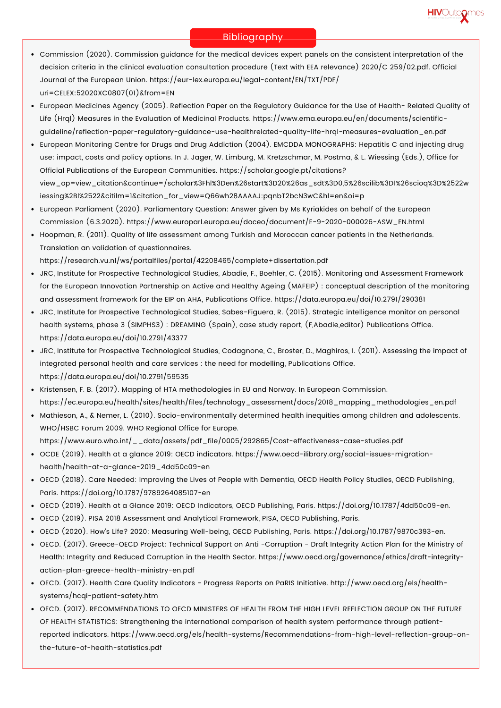

#### Bibliography

- Commission (2020). Commission guidance for the medical devices expert panels on the consistent interpretation of the decision criteria in the clinical evaluation consultation procedure (Text with EEA relevance) 2020/C 259/02.pdf. Official Journal of the European Union. https://eur-lex.europa.eu/legal-content/EN/TXT/PDF/ uri=CELEX:52020XC0807(01)&from=EN
- European Medicines Agency (2005). Reflection Paper on the Regulatory Guidance for the Use of Health- Related Quality of Life (Hrql) Measures in the Evaluation of Medicinal Products. https://www.ema.europa.eu/en/documents/scientificguideline/reflection-paper-regulatory-guidance-use-healthrelated-quality-life-hrql-measures-evaluation\_en.pdf
- European Monitoring Centre for Drugs and Drug Addiction (2004). EMCDDA MONOGRAPHS: Hepatitis C and injecting drug use: impact, costs and policy options. In J. Jager, W. Limburg, M. Kretzschmar, M. Postma, & L. Wiessing (Eds.), Office for Official Publications of the European Communities. https://scholar.google.pt/citations? view\_op=view\_citation&continue=/scholar%3Fhl%3Den%26start%3D20%26as\_sdt%3D0,5%26scilib%3D1%26scioq%3D%2522w iessing%2Bl%2522&citilm=1&citation\_for\_view=Q66wh28AAAAJ:pqnbT2bcN3wC&hl=en&oi=p
- European Parliament (2020). Parliamentary Question: Answer given by Ms Kyriakides on behalf of the European Commission (6.3.2020). https://www.europarl.europa.eu/doceo/document/E-9-2020-000026-ASW\_EN.html
- Hoopman, R. (2011). Quality of life assessment among Turkish and Moroccan cancer patients in the Netherlands. Translation an validation of questionnaires.

https://research.vu.nl/ws/portalfiles/portal/42208465/complete+dissertation.pdf

- JRC, Institute for Prospective Technological Studies, Abadie, F., Boehler, C. (2015). Monitoring and Assessment Framework for the European Innovation Partnership on Active and Healthy Ageing (MAFEIP) : conceptual description of the monitoring and assessment framework for the EIP on AHA, Publications Office. https://data.europa.eu/doi/10.2791/290381
- JRC, Institute for Prospective Technological Studies, Sabes-Figuera, R. (2015). Strategic intelligence monitor on personal health systems, phase 3 (SIMPHS3) : DREAMING (Spain), case study report, (F,Abadie,editor) Publications Office. https://data.europa.eu/doi/10.2791/43377
- JRC, Institute for Prospective Technological Studies, Codagnone, C., Broster, D., Maghiros, I. (2011). Assessing the impact of integrated personal health and care services : the need for modelling, Publications Office. https://data.europa.eu/doi/10.2791/59535
- Kristensen, F. B. (2017). Mapping of HTA methodologies in EU and Norway. In European Commission. https://ec.europa.eu/health/sites/health/files/technology\_assessment/docs/2018\_mapping\_methodologies\_en.pdf
- Mathieson, A., & Nemer, L. (2010). Socio-environmentally determined health inequities among children and adolescents. WHO/HSBC Forum 2009. WHO Regional Office for Europe.
- https://www.euro.who.int/\_\_data/assets/pdf\_file/0005/292865/Cost-effectiveness-case-studies.pdf
- OCDE (2019). Health at a glance 2019: OECD indicators. https://www.oecd-ilibrary.org/social-issues-migrationhealth/health-at-a-glance-2019\_4dd50c09-en
- OECD (2018). Care Needed: Improving the Lives of People with Dementia, OECD Health Policy Studies, OECD Publishing, Paris. https://doi.org/10.1787/9789264085107-en
- OECD (2019). Health at a Glance 2019: OECD Indicators, OECD Publishing, Paris. https://doi.org/10.1787/4dd50c09-en.
- OECD (2019). PISA 2018 Assessment and Analytical Framework, PISA, OECD Publishing, Paris.
- OECD (2020). How's Life? 2020: Measuring Well-being, OECD Publishing, Paris. https://doi.org/10.1787/9870c393-en.
- OECD. (2017). Greece-OECD Project: Technical Support on Anti -Corruption Draft Integrity Action Plan for the Ministry of Health: Integrity and Reduced Corruption in the Health Sector. https://www.oecd.org/governance/ethics/draft-integrityaction-plan-greece-health-ministry-en.pdf
- OECD. (2017). Health Care Quality Indicators Progress Reports on PaRIS Initiative. http://www.oecd.org/els/healthsystems/hcqi-patient-safety.htm
- . OECD. (2017). RECOMMENDATIONS TO OECD MINISTERS OF HEALTH FROM THE HIGH LEVEL REFLECTION GROUP ON THE FUTURE OF HEALTH STATISTICS: Strengthening the international comparison of health system performance through patientreported indicators. https://www.oecd.org/els/health-systems/Recommendations-from-high-level-reflection-group-onthe-future-of-health-statistics.pdf